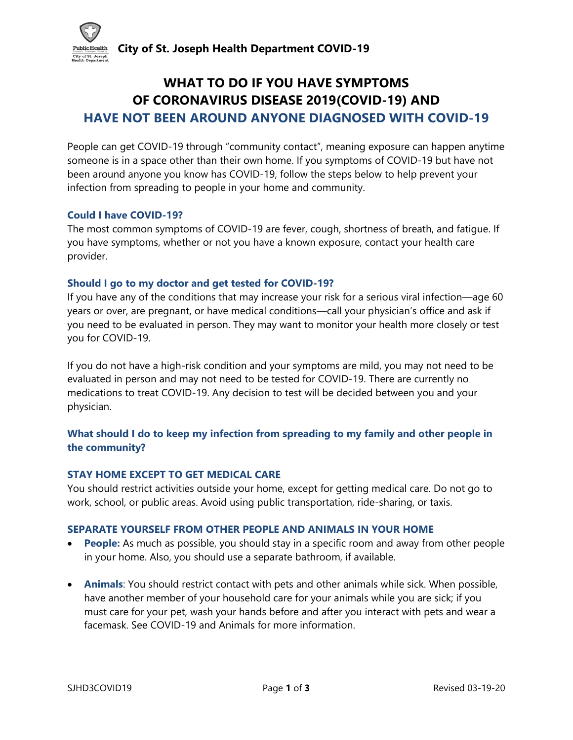

# **WHAT TO DO IF YOU HAVE SYMPTOMS OF CORONAVIRUS DISEASE 2019(COVID-19) AND HAVE NOT BEEN AROUND ANYONE DIAGNOSED WITH COVID-19**

People can get COVID-19 through "community contact", meaning exposure can happen anytime someone is in a space other than their own home. If you symptoms of COVID-19 but have not been around anyone you know has COVID-19, follow the steps below to help prevent your infection from spreading to people in your home and community.

# **Could I have COVID-19?**

The most common symptoms of COVID-19 are fever, cough, shortness of breath, and fatigue. If you have symptoms, whether or not you have a known exposure, contact your health care provider.

## **Should I go to my doctor and get tested for COVID-19?**

If you have any of the conditions that may increase your risk for a serious viral infection—age 60 years or over, are pregnant, or have medical conditions—call your physician's office and ask if you need to be evaluated in person. They may want to monitor your health more closely or test you for COVID-19.

If you do not have a high-risk condition and your symptoms are mild, you may not need to be evaluated in person and may not need to be tested for COVID-19. There are currently no medications to treat COVID-19. Any decision to test will be decided between you and your physician.

# **What should I do to keep my infection from spreading to my family and other people in the community?**

## **STAY HOME EXCEPT TO GET MEDICAL CARE**

You should restrict activities outside your home, except for getting medical care. Do not go to work, school, or public areas. Avoid using public transportation, ride-sharing, or taxis.

## **SEPARATE YOURSELF FROM OTHER PEOPLE AND ANIMALS IN YOUR HOME**

- **People:** As much as possible, you should stay in a specific room and away from other people in your home. Also, you should use a separate bathroom, if available.
- **Animals**: You should restrict contact with pets and other animals while sick. When possible, have another member of your household care for your animals while you are sick; if you must care for your pet, wash your hands before and after you interact with pets and wear a facemask. See COVID-19 and Animals for more information.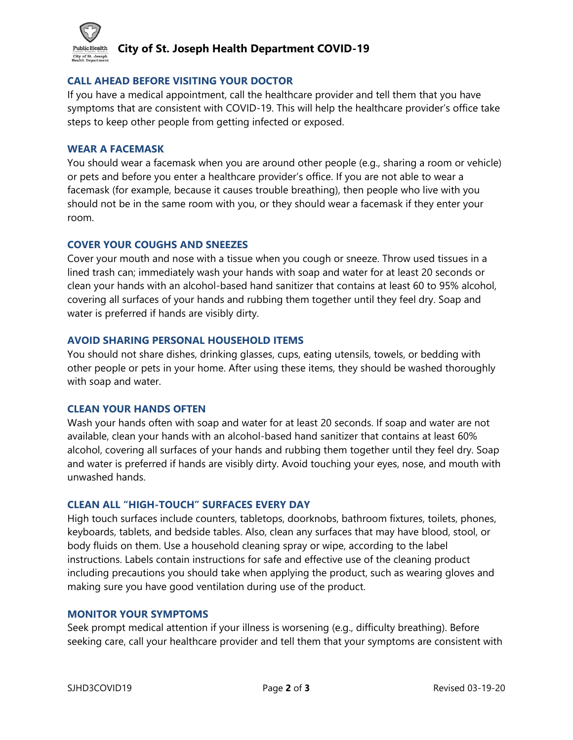

# **City of St. Joseph Health Department COVID-19**

## **CALL AHEAD BEFORE VISITING YOUR DOCTOR**

If you have a medical appointment, call the healthcare provider and tell them that you have symptoms that are consistent with COVID-19. This will help the healthcare provider's office take steps to keep other people from getting infected or exposed.

## **WEAR A FACEMASK**

You should wear a facemask when you are around other people (e.g., sharing a room or vehicle) or pets and before you enter a healthcare provider's office. If you are not able to wear a facemask (for example, because it causes trouble breathing), then people who live with you should not be in the same room with you, or they should wear a facemask if they enter your room.

#### **COVER YOUR COUGHS AND SNEEZES**

Cover your mouth and nose with a tissue when you cough or sneeze. Throw used tissues in a lined trash can; immediately wash your hands with soap and water for at least 20 seconds or clean your hands with an alcohol-based hand sanitizer that contains at least 60 to 95% alcohol, covering all surfaces of your hands and rubbing them together until they feel dry. Soap and water is preferred if hands are visibly dirty.

## **AVOID SHARING PERSONAL HOUSEHOLD ITEMS**

You should not share dishes, drinking glasses, cups, eating utensils, towels, or bedding with other people or pets in your home. After using these items, they should be washed thoroughly with soap and water.

#### **CLEAN YOUR HANDS OFTEN**

Wash your hands often with soap and water for at least 20 seconds. If soap and water are not available, clean your hands with an alcohol-based hand sanitizer that contains at least 60% alcohol, covering all surfaces of your hands and rubbing them together until they feel dry. Soap and water is preferred if hands are visibly dirty. Avoid touching your eyes, nose, and mouth with unwashed hands.

## **CLEAN ALL "HIGH-TOUCH" SURFACES EVERY DAY**

High touch surfaces include counters, tabletops, doorknobs, bathroom fixtures, toilets, phones, keyboards, tablets, and bedside tables. Also, clean any surfaces that may have blood, stool, or body fluids on them. Use a household cleaning spray or wipe, according to the label instructions. Labels contain instructions for safe and effective use of the cleaning product including precautions you should take when applying the product, such as wearing gloves and making sure you have good ventilation during use of the product.

#### **MONITOR YOUR SYMPTOMS**

Seek prompt medical attention if your illness is worsening (e.g., difficulty breathing). Before seeking care, call your healthcare provider and tell them that your symptoms are consistent with